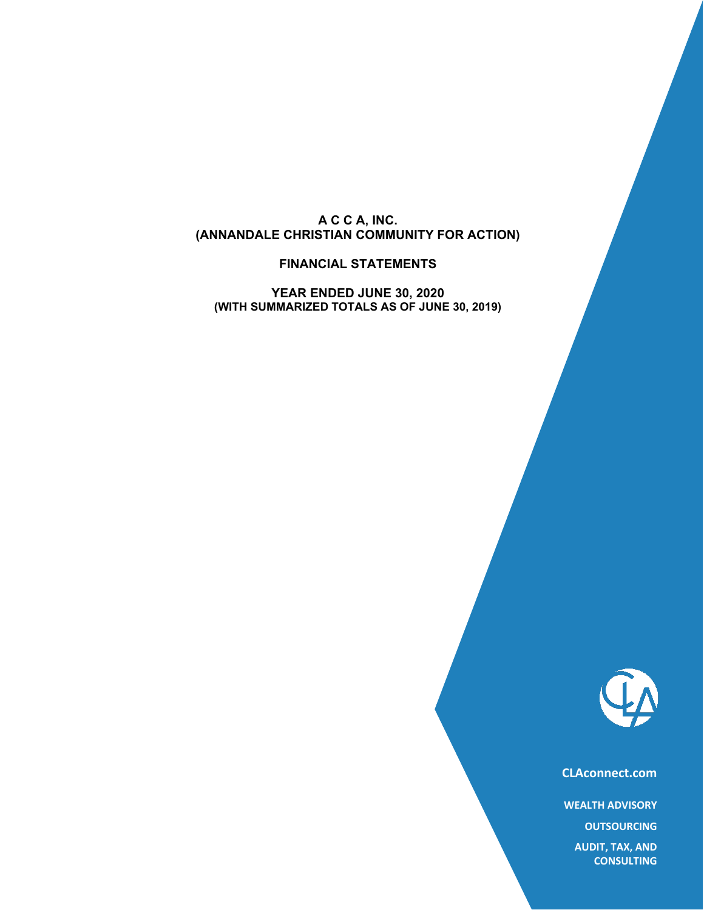**A C C A, INC. (ANNANDALE CHRISTIAN COMMUNITY FOR ACTION)** 

**FINANCIAL STATEMENTS** 

**YEAR ENDED JUNE 30, 2020 (WITH SUMMARIZED TOTALS AS OF JUNE 30, 2019)** 



**CLAconnect.com**

**WEALTH ADVISORY OUTSOURCING AUDIT, TAX, AND CONSULTING**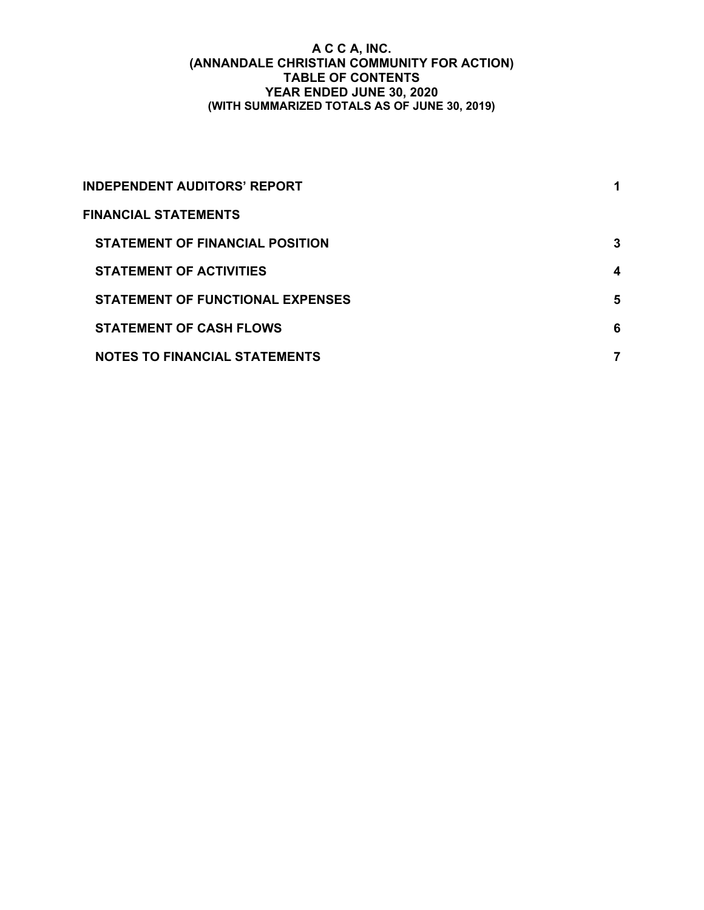## **A C C A, INC. (ANNANDALE CHRISTIAN COMMUNITY FOR ACTION) TABLE OF CONTENTS YEAR ENDED JUNE 30, 2020 (WITH SUMMARIZED TOTALS AS OF JUNE 30, 2019)**

| <b>INDEPENDENT AUDITORS' REPORT</b>     |   |
|-----------------------------------------|---|
| <b>FINANCIAL STATEMENTS</b>             |   |
| <b>STATEMENT OF FINANCIAL POSITION</b>  | 3 |
| <b>STATEMENT OF ACTIVITIES</b>          | 4 |
| <b>STATEMENT OF FUNCTIONAL EXPENSES</b> | 5 |
| <b>STATEMENT OF CASH FLOWS</b>          | 6 |
| <b>NOTES TO FINANCIAL STATEMENTS</b>    |   |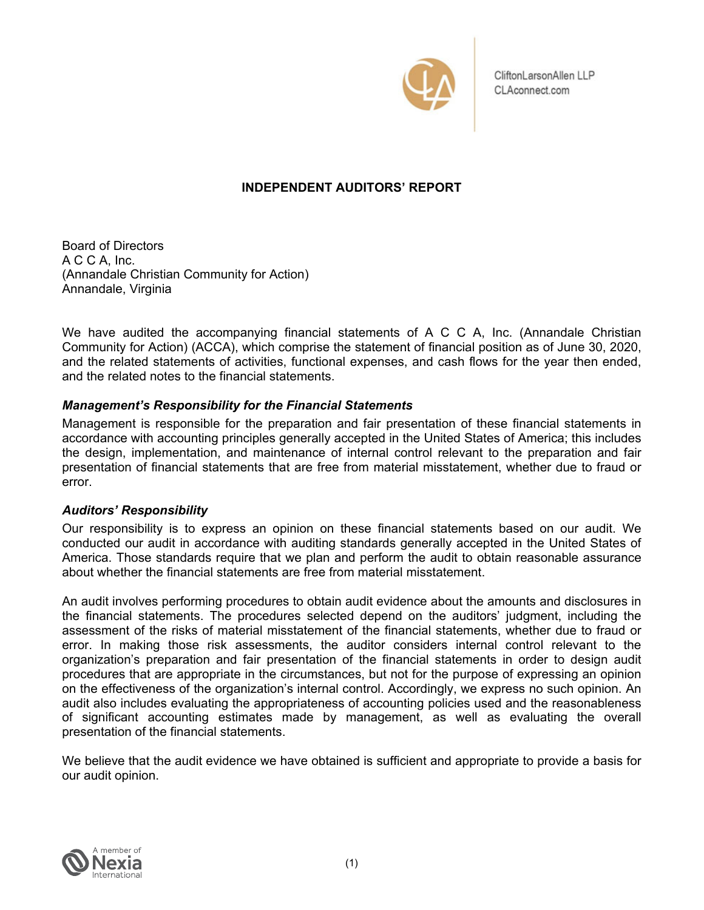

CliftonLarsonAllen LLP CLAconnect.com

# **INDEPENDENT AUDITORS' REPORT**

Board of Directors A C C A, Inc. (Annandale Christian Community for Action) Annandale, Virginia

We have audited the accompanying financial statements of A C C A, Inc. (Annandale Christian Community for Action) (ACCA), which comprise the statement of financial position as of June 30, 2020, and the related statements of activities, functional expenses, and cash flows for the year then ended, and the related notes to the financial statements.

# *Management's Responsibility for the Financial Statements*

Management is responsible for the preparation and fair presentation of these financial statements in accordance with accounting principles generally accepted in the United States of America; this includes the design, implementation, and maintenance of internal control relevant to the preparation and fair presentation of financial statements that are free from material misstatement, whether due to fraud or error.

# *Auditors' Responsibility*

Our responsibility is to express an opinion on these financial statements based on our audit. We conducted our audit in accordance with auditing standards generally accepted in the United States of America. Those standards require that we plan and perform the audit to obtain reasonable assurance about whether the financial statements are free from material misstatement.

An audit involves performing procedures to obtain audit evidence about the amounts and disclosures in the financial statements. The procedures selected depend on the auditors' judgment, including the assessment of the risks of material misstatement of the financial statements, whether due to fraud or error. In making those risk assessments, the auditor considers internal control relevant to the organization's preparation and fair presentation of the financial statements in order to design audit procedures that are appropriate in the circumstances, but not for the purpose of expressing an opinion on the effectiveness of the organization's internal control. Accordingly, we express no such opinion. An audit also includes evaluating the appropriateness of accounting policies used and the reasonableness of significant accounting estimates made by management, as well as evaluating the overall presentation of the financial statements.

We believe that the audit evidence we have obtained is sufficient and appropriate to provide a basis for our audit opinion.

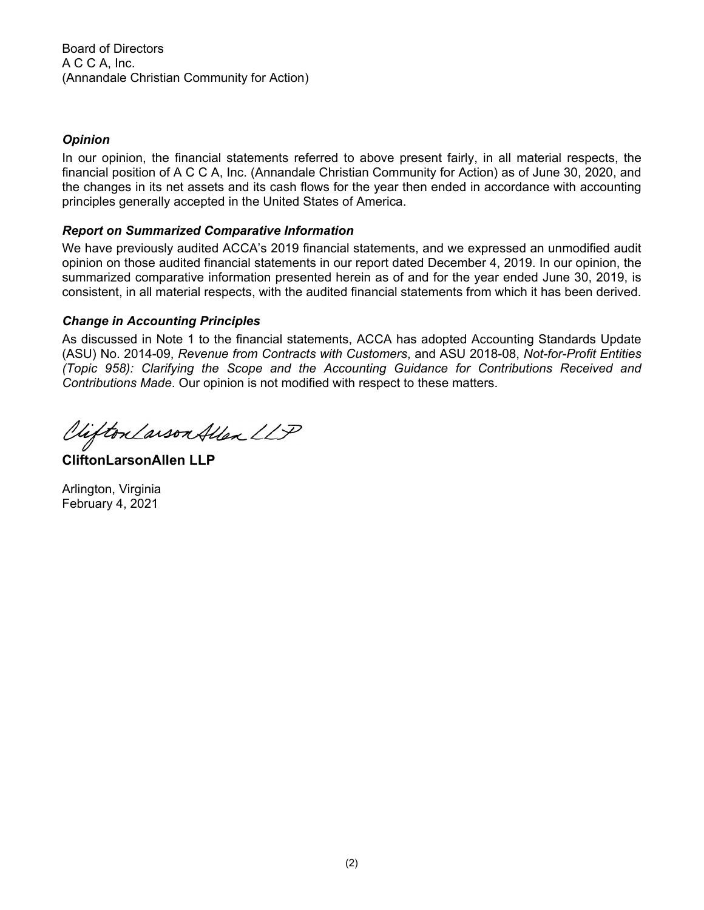# *Opinion*

In our opinion, the financial statements referred to above present fairly, in all material respects, the financial position of A C C A, Inc. (Annandale Christian Community for Action) as of June 30, 2020, and the changes in its net assets and its cash flows for the year then ended in accordance with accounting principles generally accepted in the United States of America.

## *Report on Summarized Comparative Information*

We have previously audited ACCA's 2019 financial statements, and we expressed an unmodified audit opinion on those audited financial statements in our report dated December 4, 2019. In our opinion, the summarized comparative information presented herein as of and for the year ended June 30, 2019, is consistent, in all material respects, with the audited financial statements from which it has been derived.

# *Change in Accounting Principles*

As discussed in Note 1 to the financial statements, ACCA has adopted Accounting Standards Update (ASU) No. 2014-09, *Revenue from Contracts with Customers*, and ASU 2018-08, *Not-for-Profit Entities (Topic 958): Clarifying the Scope and the Accounting Guidance for Contributions Received and Contributions Made*. Our opinion is not modified with respect to these matters.

Viifton Larson Allen LLP

**CliftonLarsonAllen LLP** 

Arlington, Virginia February 4, 2021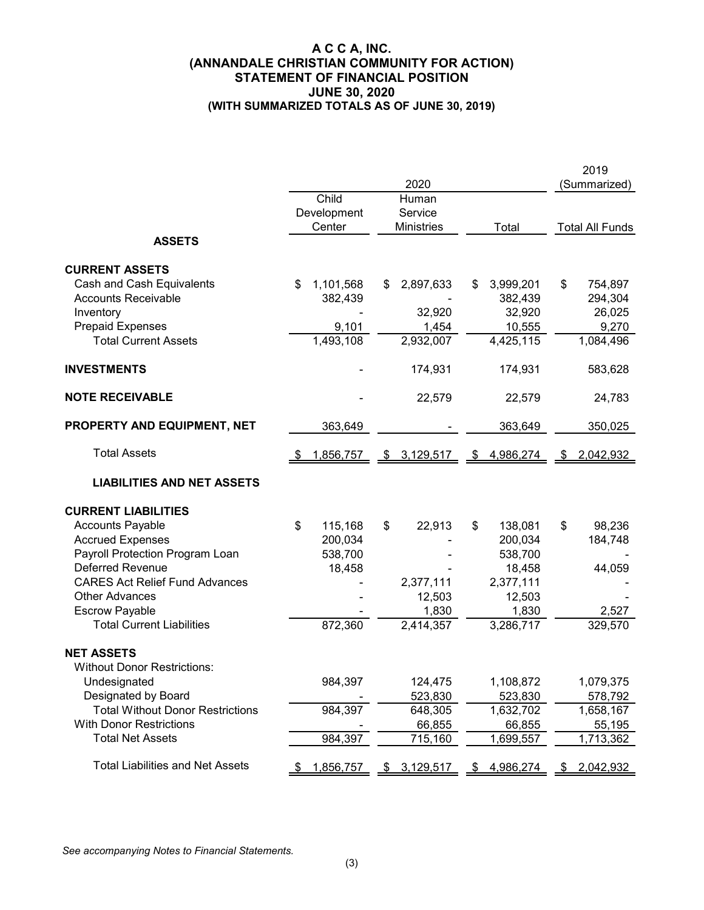### **A C C A, INC. (ANNANDALE CHRISTIAN COMMUNITY FOR ACTION) STATEMENT OF FINANCIAL POSITION JUNE 30, 2020 (WITH SUMMARIZED TOTALS AS OF JUNE 30, 2019)**

|                                         |                        |    |                   |                 | 2019                   |
|-----------------------------------------|------------------------|----|-------------------|-----------------|------------------------|
|                                         |                        |    | 2020              |                 | (Summarized)           |
|                                         | Child                  |    | Human             |                 |                        |
|                                         | Development            |    | Service           |                 |                        |
|                                         | Center                 |    | <b>Ministries</b> | Total           | <b>Total All Funds</b> |
| <b>ASSETS</b>                           |                        |    |                   |                 |                        |
| <b>CURRENT ASSETS</b>                   |                        |    |                   |                 |                        |
| Cash and Cash Equivalents               | \$<br>1,101,568        | \$ | 2,897,633         | \$<br>3,999,201 | \$<br>754,897          |
| <b>Accounts Receivable</b>              | 382,439                |    |                   | 382,439         | 294,304                |
| Inventory                               |                        |    | 32,920            | 32,920          | 26,025                 |
| <b>Prepaid Expenses</b>                 | 9,101                  |    | 1,454             | 10,555          | 9,270                  |
| <b>Total Current Assets</b>             | 1,493,108              |    | 2,932,007         | 4,425,115       | 1,084,496              |
| <b>INVESTMENTS</b>                      |                        |    | 174,931           | 174,931         | 583,628                |
| <b>NOTE RECEIVABLE</b>                  |                        |    | 22,579            | 22,579          | 24,783                 |
| PROPERTY AND EQUIPMENT, NET             | 363,649                |    |                   | 363,649         | 350,025                |
| <b>Total Assets</b>                     | 1,856,757              | S. | 3,129,517         | \$<br>4,986,274 | <u>2,042,932</u>       |
| <b>LIABILITIES AND NET ASSETS</b>       |                        |    |                   |                 |                        |
| <b>CURRENT LIABILITIES</b>              |                        |    |                   |                 |                        |
| <b>Accounts Payable</b>                 | \$<br>115,168          | \$ | 22,913            | \$<br>138,081   | \$<br>98,236           |
| <b>Accrued Expenses</b>                 | 200,034                |    |                   | 200,034         | 184,748                |
| Payroll Protection Program Loan         | 538,700                |    |                   | 538,700         |                        |
| <b>Deferred Revenue</b>                 | 18,458                 |    |                   | 18,458          | 44,059                 |
| <b>CARES Act Relief Fund Advances</b>   |                        |    | 2,377,111         | 2,377,111       |                        |
| <b>Other Advances</b>                   |                        |    | 12,503            | 12,503          |                        |
| <b>Escrow Payable</b>                   |                        |    | 1,830             | 1,830           | 2,527                  |
| <b>Total Current Liabilities</b>        | 872,360                |    | 2,414,357         | 3,286,717       | 329,570                |
| <b>NET ASSETS</b>                       |                        |    |                   |                 |                        |
| <b>Without Donor Restrictions:</b>      |                        |    |                   |                 |                        |
| Undesignated                            | 984,397                |    | 124,475           | 1,108,872       | 1,079,375              |
| Designated by Board                     |                        |    | 523,830           | 523,830         | 578,792                |
| <b>Total Without Donor Restrictions</b> | 984,397                |    | 648,305           | 1,632,702       | 1,658,167              |
| <b>With Donor Restrictions</b>          |                        |    | 66,855            | 66,855          | 55,195                 |
| <b>Total Net Assets</b>                 | 984,397                |    | 715,160           | 1,699,557       | 1,713,362              |
| <b>Total Liabilities and Net Assets</b> | \$<br><u>1,856,757</u> | \$ | 3,129,517         | \$<br>4,986,274 | \$<br>2,042,932        |

*See accompanying Notes to Financial Statements.*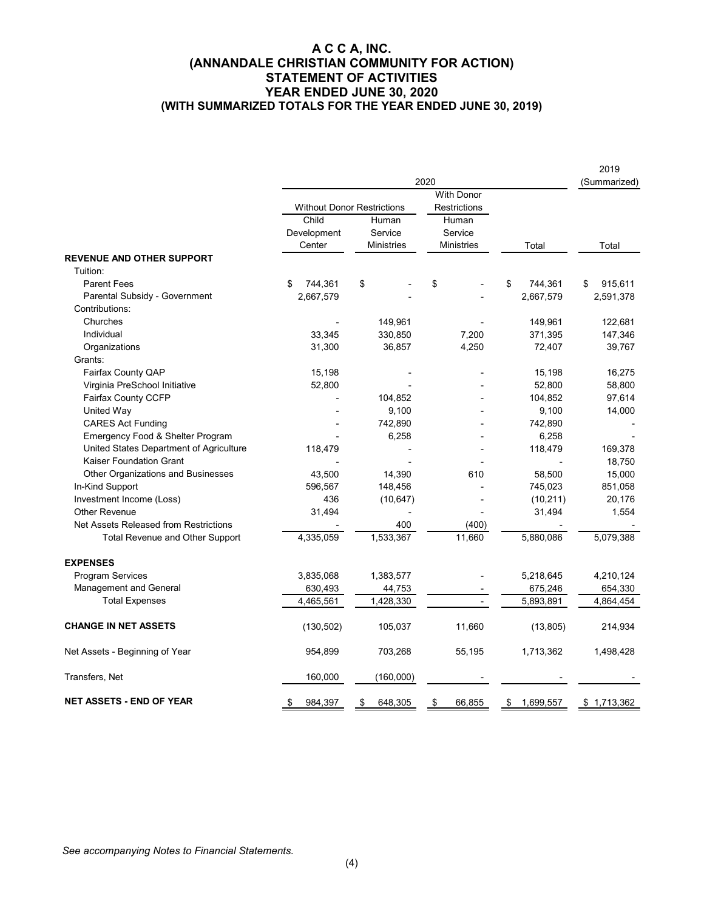#### **A C C A, INC. (ANNANDALE CHRISTIAN COMMUNITY FOR ACTION) STATEMENT OF ACTIVITIES YEAR ENDED JUNE 30, 2020 (WITH SUMMARIZED TOTALS FOR THE YEAR ENDED JUNE 30, 2019)**

|                                         |               |                                   |                   |                 | 2019          |
|-----------------------------------------|---------------|-----------------------------------|-------------------|-----------------|---------------|
|                                         |               |                                   | 2020              |                 | (Summarized)  |
|                                         |               |                                   | <b>With Donor</b> |                 |               |
|                                         |               | <b>Without Donor Restrictions</b> | Restrictions      |                 |               |
|                                         | Child         | Human                             | Human             |                 |               |
|                                         | Development   | Service                           | Service           |                 |               |
|                                         | Center        | <b>Ministries</b>                 | <b>Ministries</b> | Total           | Total         |
| <b>REVENUE AND OTHER SUPPORT</b>        |               |                                   |                   |                 |               |
| Tuition:                                |               |                                   |                   |                 |               |
| <b>Parent Fees</b>                      | 744,361<br>\$ | \$                                | \$                | \$<br>744,361   | 915,611<br>\$ |
| Parental Subsidy - Government           | 2,667,579     |                                   |                   | 2,667,579       | 2,591,378     |
| Contributions:                          |               |                                   |                   |                 |               |
| Churches                                |               | 149,961                           |                   | 149,961         | 122,681       |
| Individual                              | 33,345        | 330,850                           | 7,200             | 371,395         | 147,346       |
| Organizations                           | 31,300        | 36,857                            | 4,250             | 72,407          | 39,767        |
| Grants:                                 |               |                                   |                   |                 |               |
| Fairfax County QAP                      | 15,198        |                                   |                   | 15,198          | 16,275        |
| Virginia PreSchool Initiative           | 52,800        |                                   |                   | 52,800          | 58,800        |
| Fairfax County CCFP                     |               | 104,852                           |                   | 104,852         | 97,614        |
| United Way                              |               | 9,100                             |                   | 9,100           | 14,000        |
| <b>CARES Act Funding</b>                |               | 742,890                           |                   | 742,890         |               |
| Emergency Food & Shelter Program        |               | 6,258                             |                   | 6,258           |               |
| United States Department of Agriculture | 118,479       |                                   |                   | 118,479         | 169,378       |
| Kaiser Foundation Grant                 |               |                                   |                   |                 | 18,750        |
| Other Organizations and Businesses      | 43,500        | 14,390                            | 610               | 58,500          | 15,000        |
| In-Kind Support                         | 596,567       | 148,456                           |                   | 745,023         | 851,058       |
| Investment Income (Loss)                | 436           | (10, 647)                         |                   | (10, 211)       | 20,176        |
| <b>Other Revenue</b>                    | 31,494        |                                   |                   | 31,494          | 1,554         |
| Net Assets Released from Restrictions   |               | 400                               | (400)             |                 |               |
| <b>Total Revenue and Other Support</b>  | 4,335,059     | 1,533,367                         | 11,660            | 5,880,086       | 5,079,388     |
| <b>EXPENSES</b>                         |               |                                   |                   |                 |               |
| <b>Program Services</b>                 | 3,835,068     | 1,383,577                         |                   | 5,218,645       | 4,210,124     |
| Management and General                  | 630,493       | 44,753                            |                   | 675,246         | 654,330       |
| <b>Total Expenses</b>                   | 4,465,561     | 1,428,330                         |                   | 5,893,891       | 4,864,454     |
| <b>CHANGE IN NET ASSETS</b>             | (130, 502)    | 105,037                           | 11,660            | (13, 805)       | 214,934       |
| Net Assets - Beginning of Year          | 954,899       | 703,268                           | 55,195            | 1,713,362       | 1,498,428     |
| Transfers, Net                          | 160,000       | (160,000)                         |                   |                 |               |
| <b>NET ASSETS - END OF YEAR</b>         | 984,397<br>\$ | 648,305<br>\$                     | \$<br>66,855      | 1,699,557<br>\$ | \$1,713,362   |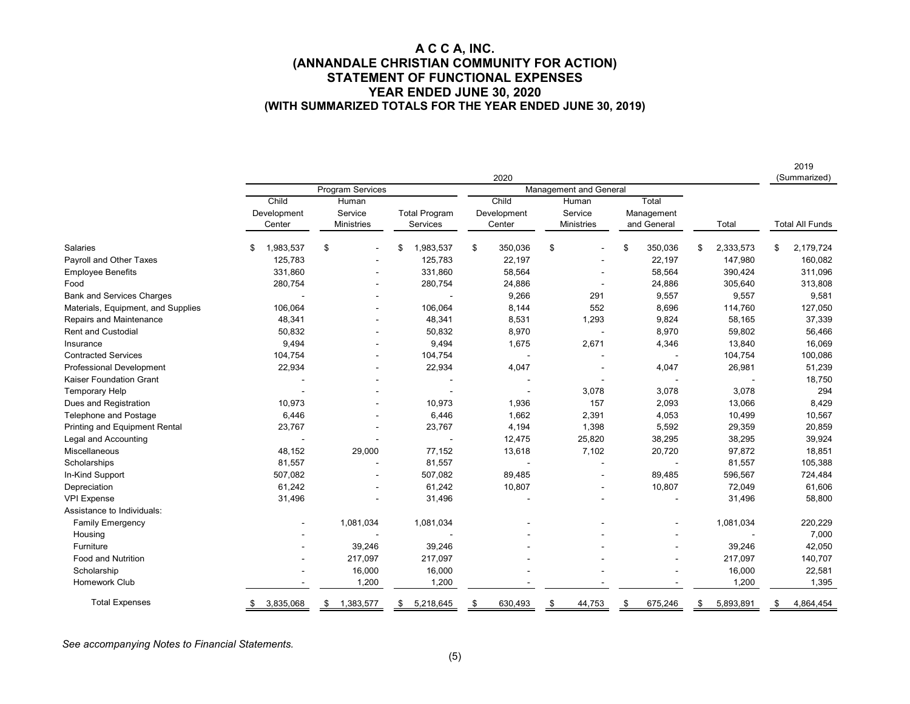#### **A C C A, INC. (ANNANDALE CHRISTIAN COMMUNITY FOR ACTION) STATEMENT OF FUNCTIONAL EXPENSES YEAR ENDED JUNE 30, 2020 (WITH SUMMARIZED TOTALS FOR THE YEAR ENDED JUNE 30, 2019)**

2019

|                                    |                                |                                       |                                  | 2020                           |                                       |                                    |                 | (Summarized)           |
|------------------------------------|--------------------------------|---------------------------------------|----------------------------------|--------------------------------|---------------------------------------|------------------------------------|-----------------|------------------------|
|                                    |                                | Program Services                      |                                  | Management and General         |                                       |                                    |                 |                        |
|                                    | Child<br>Development<br>Center | Human<br>Service<br><b>Ministries</b> | <b>Total Program</b><br>Services | Child<br>Development<br>Center | Human<br>Service<br><b>Ministries</b> | Total<br>Management<br>and General | Total           | <b>Total All Funds</b> |
| Salaries                           | 1,983,537<br>\$                | \$                                    | 1,983,537<br>\$                  | \$<br>350,036                  | \$                                    | \$<br>350,036                      | \$<br>2,333,573 | \$<br>2,179,724        |
| Payroll and Other Taxes            | 125,783                        |                                       | 125,783                          | 22,197                         |                                       | 22,197                             | 147,980         | 160,082                |
| <b>Employee Benefits</b>           | 331,860                        |                                       | 331,860                          | 58,564                         |                                       | 58,564                             | 390,424         | 311,096                |
| Food                               | 280,754                        |                                       | 280,754                          | 24,886                         |                                       | 24,886                             | 305,640         | 313,808                |
| <b>Bank and Services Charges</b>   |                                |                                       |                                  | 9,266                          | 291                                   | 9,557                              | 9,557           | 9,581                  |
| Materials, Equipment, and Supplies | 106,064                        |                                       | 106,064                          | 8,144                          | 552                                   | 8,696                              | 114,760         | 127,050                |
| Repairs and Maintenance            | 48,341                         |                                       | 48,341                           | 8,531                          | 1,293                                 | 9,824                              | 58,165          | 37,339                 |
| <b>Rent and Custodial</b>          | 50,832                         |                                       | 50,832                           | 8,970                          |                                       | 8,970                              | 59,802          | 56,466                 |
| Insurance                          | 9,494                          |                                       | 9,494                            | 1,675                          | 2,671                                 | 4,346                              | 13,840          | 16,069                 |
| <b>Contracted Services</b>         | 104,754                        |                                       | 104,754                          |                                |                                       |                                    | 104,754         | 100,086                |
| <b>Professional Development</b>    | 22,934                         |                                       | 22,934                           | 4,047                          |                                       | 4,047                              | 26,981          | 51,239                 |
| Kaiser Foundation Grant            |                                |                                       |                                  |                                |                                       |                                    |                 | 18,750                 |
| <b>Temporary Help</b>              |                                |                                       |                                  |                                | 3,078                                 | 3,078                              | 3,078           | 294                    |
| Dues and Registration              | 10,973                         |                                       | 10,973                           | 1,936                          | 157                                   | 2,093                              | 13,066          | 8,429                  |
| Telephone and Postage              | 6,446                          |                                       | 6,446                            | 1,662                          | 2,391                                 | 4,053                              | 10,499          | 10,567                 |
| Printing and Equipment Rental      | 23,767                         |                                       | 23,767                           | 4,194                          | 1,398                                 | 5,592                              | 29,359          | 20,859                 |
| Legal and Accounting               |                                |                                       |                                  | 12,475                         | 25,820                                | 38,295                             | 38,295          | 39,924                 |
| Miscellaneous                      | 48,152                         | 29,000                                | 77,152                           | 13,618                         | 7,102                                 | 20,720                             | 97,872          | 18,851                 |
| Scholarships                       | 81,557                         |                                       | 81,557                           |                                |                                       |                                    | 81,557          | 105,388                |
| In-Kind Support                    | 507,082                        |                                       | 507,082                          | 89,485                         |                                       | 89,485                             | 596,567         | 724,484                |
| Depreciation                       | 61,242                         |                                       | 61,242                           | 10,807                         |                                       | 10,807                             | 72,049          | 61,606                 |
| <b>VPI Expense</b>                 | 31,496                         |                                       | 31,496                           |                                |                                       |                                    | 31,496          | 58,800                 |
| Assistance to Individuals:         |                                |                                       |                                  |                                |                                       |                                    |                 |                        |
| <b>Family Emergency</b>            |                                | 1,081,034                             | 1,081,034                        |                                |                                       |                                    | 1,081,034       | 220,229                |
| Housing                            |                                |                                       |                                  |                                |                                       |                                    |                 | 7,000                  |
| Furniture                          |                                | 39,246                                | 39,246                           |                                |                                       |                                    | 39,246          | 42,050                 |
| <b>Food and Nutrition</b>          |                                | 217,097                               | 217,097                          |                                |                                       |                                    | 217,097         | 140,707                |
| Scholarship                        |                                | 16,000                                | 16,000                           |                                |                                       |                                    | 16,000          | 22,581                 |
| Homework Club                      |                                | 1,200                                 | 1,200                            |                                |                                       |                                    | 1,200           | 1,395                  |
| <b>Total Expenses</b>              | 3,835,068<br>\$                | 1,383,577<br>S                        | 5,218,645<br>\$.                 | 630,493<br>\$                  | 44,753<br>\$                          | 675,246<br>\$                      | 5,893,891<br>\$ | 4,864,454              |

*See accompanying Notes to Financial Statements.*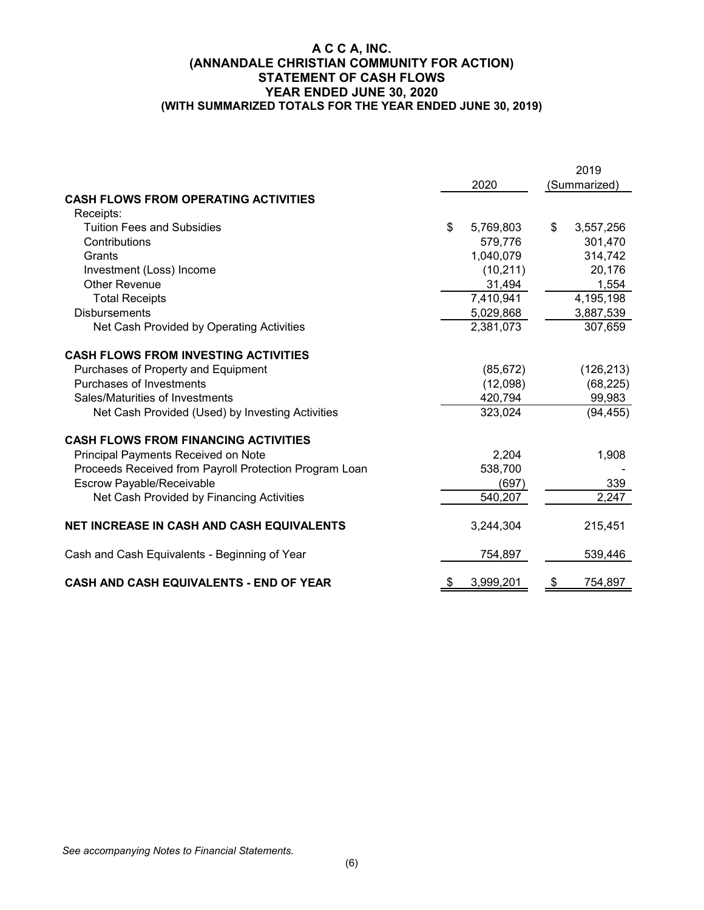#### **A C C A, INC. (ANNANDALE CHRISTIAN COMMUNITY FOR ACTION) STATEMENT OF CASH FLOWS YEAR ENDED JUNE 30, 2020 (WITH SUMMARIZED TOTALS FOR THE YEAR ENDED JUNE 30, 2019)**

|                                                        |                 | 2019            |
|--------------------------------------------------------|-----------------|-----------------|
|                                                        | 2020            | (Summarized)    |
| <b>CASH FLOWS FROM OPERATING ACTIVITIES</b>            |                 |                 |
| Receipts:                                              |                 |                 |
| <b>Tuition Fees and Subsidies</b>                      | \$<br>5,769,803 | \$<br>3,557,256 |
| Contributions                                          | 579,776         | 301,470         |
| Grants                                                 | 1,040,079       | 314,742         |
| Investment (Loss) Income                               | (10, 211)       | 20,176          |
| <b>Other Revenue</b>                                   | 31,494          | 1,554           |
| <b>Total Receipts</b>                                  | 7,410,941       | 4,195,198       |
| <b>Disbursements</b>                                   | 5,029,868       | 3,887,539       |
| Net Cash Provided by Operating Activities              | 2,381,073       | 307,659         |
| <b>CASH FLOWS FROM INVESTING ACTIVITIES</b>            |                 |                 |
| Purchases of Property and Equipment                    | (85, 672)       | (126, 213)      |
| Purchases of Investments                               | (12,098)        | (68, 225)       |
| Sales/Maturities of Investments                        | 420,794         | 99,983          |
| Net Cash Provided (Used) by Investing Activities       | 323,024         | (94, 455)       |
| <b>CASH FLOWS FROM FINANCING ACTIVITIES</b>            |                 |                 |
| Principal Payments Received on Note                    | 2,204           | 1,908           |
| Proceeds Received from Payroll Protection Program Loan | 538,700         |                 |
| Escrow Payable/Receivable                              | (697)           | 339             |
| Net Cash Provided by Financing Activities              | 540,207         | 2,247           |
| NET INCREASE IN CASH AND CASH EQUIVALENTS              | 3,244,304       | 215,451         |
| Cash and Cash Equivalents - Beginning of Year          | 754,897         | 539,446         |
| CASH AND CASH EQUIVALENTS - END OF YEAR                | \$<br>3,999,201 | \$<br>754,897   |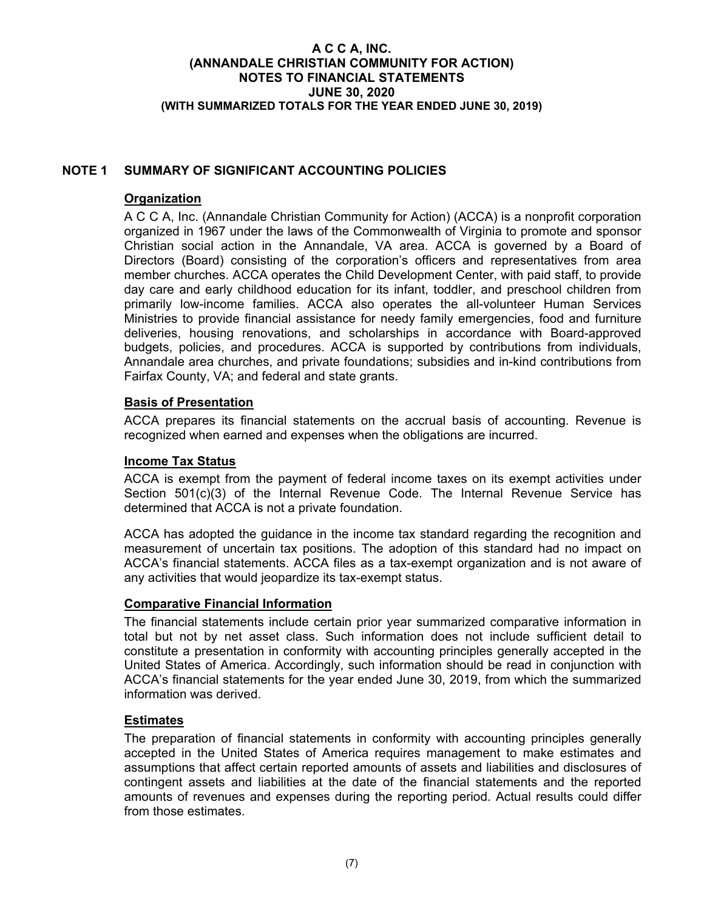# **NOTE 1 SUMMARY OF SIGNIFICANT ACCOUNTING POLICIES**

### **Organization**

A C C A, Inc. (Annandale Christian Community for Action) (ACCA) is a nonprofit corporation organized in 1967 under the laws of the Commonwealth of Virginia to promote and sponsor Christian social action in the Annandale, VA area. ACCA is governed by a Board of Directors (Board) consisting of the corporation's officers and representatives from area member churches. ACCA operates the Child Development Center, with paid staff, to provide day care and early childhood education for its infant, toddler, and preschool children from primarily low-income families. ACCA also operates the all-volunteer Human Services Ministries to provide financial assistance for needy family emergencies, food and furniture deliveries, housing renovations, and scholarships in accordance with Board-approved budgets, policies, and procedures. ACCA is supported by contributions from individuals, Annandale area churches, and private foundations; subsidies and in-kind contributions from Fairfax County, VA; and federal and state grants.

### **Basis of Presentation**

ACCA prepares its financial statements on the accrual basis of accounting. Revenue is recognized when earned and expenses when the obligations are incurred.

#### **Income Tax Status**

ACCA is exempt from the payment of federal income taxes on its exempt activities under Section 501(c)(3) of the Internal Revenue Code. The Internal Revenue Service has determined that ACCA is not a private foundation.

ACCA has adopted the guidance in the income tax standard regarding the recognition and measurement of uncertain tax positions. The adoption of this standard had no impact on ACCA's financial statements. ACCA files as a tax-exempt organization and is not aware of any activities that would jeopardize its tax-exempt status.

#### **Comparative Financial Information**

The financial statements include certain prior year summarized comparative information in total but not by net asset class. Such information does not include sufficient detail to constitute a presentation in conformity with accounting principles generally accepted in the United States of America. Accordingly, such information should be read in conjunction with ACCA's financial statements for the year ended June 30, 2019, from which the summarized information was derived.

### **Estimates**

The preparation of financial statements in conformity with accounting principles generally accepted in the United States of America requires management to make estimates and assumptions that affect certain reported amounts of assets and liabilities and disclosures of contingent assets and liabilities at the date of the financial statements and the reported amounts of revenues and expenses during the reporting period. Actual results could differ from those estimates.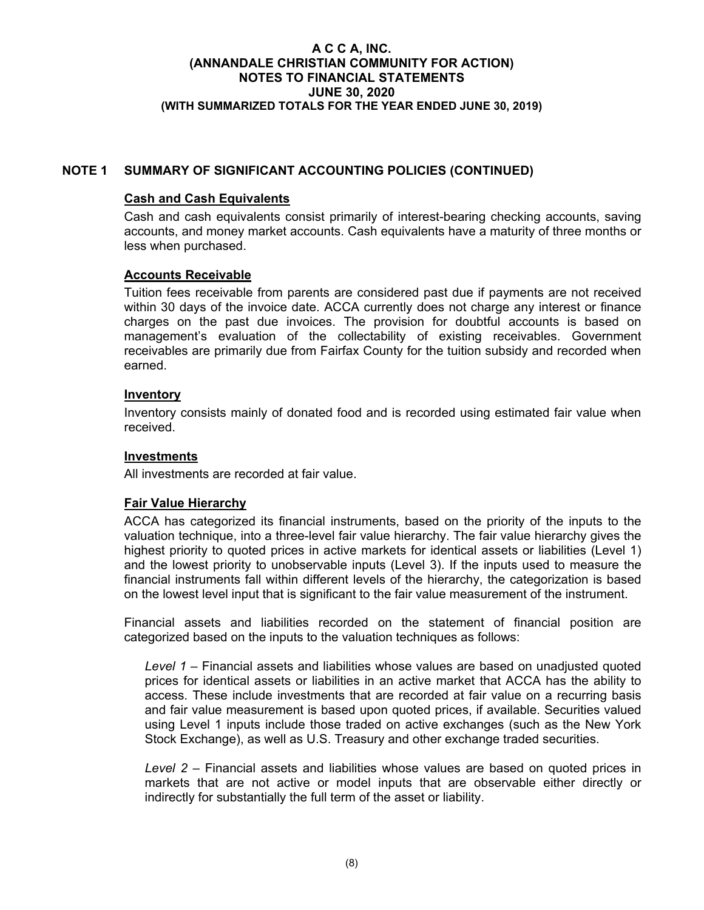# **NOTE 1 SUMMARY OF SIGNIFICANT ACCOUNTING POLICIES (CONTINUED)**

# **Cash and Cash Equivalents**

Cash and cash equivalents consist primarily of interest-bearing checking accounts, saving accounts, and money market accounts. Cash equivalents have a maturity of three months or less when purchased.

## **Accounts Receivable**

Tuition fees receivable from parents are considered past due if payments are not received within 30 days of the invoice date. ACCA currently does not charge any interest or finance charges on the past due invoices. The provision for doubtful accounts is based on management's evaluation of the collectability of existing receivables. Government receivables are primarily due from Fairfax County for the tuition subsidy and recorded when earned.

## **Inventory**

Inventory consists mainly of donated food and is recorded using estimated fair value when received.

## **Investments**

All investments are recorded at fair value.

## **Fair Value Hierarchy**

ACCA has categorized its financial instruments, based on the priority of the inputs to the valuation technique, into a three-level fair value hierarchy. The fair value hierarchy gives the highest priority to quoted prices in active markets for identical assets or liabilities (Level 1) and the lowest priority to unobservable inputs (Level 3). If the inputs used to measure the financial instruments fall within different levels of the hierarchy, the categorization is based on the lowest level input that is significant to the fair value measurement of the instrument.

Financial assets and liabilities recorded on the statement of financial position are categorized based on the inputs to the valuation techniques as follows:

*Level 1* – Financial assets and liabilities whose values are based on unadjusted quoted prices for identical assets or liabilities in an active market that ACCA has the ability to access. These include investments that are recorded at fair value on a recurring basis and fair value measurement is based upon quoted prices, if available. Securities valued using Level 1 inputs include those traded on active exchanges (such as the New York Stock Exchange), as well as U.S. Treasury and other exchange traded securities.

*Level 2* – Financial assets and liabilities whose values are based on quoted prices in markets that are not active or model inputs that are observable either directly or indirectly for substantially the full term of the asset or liability.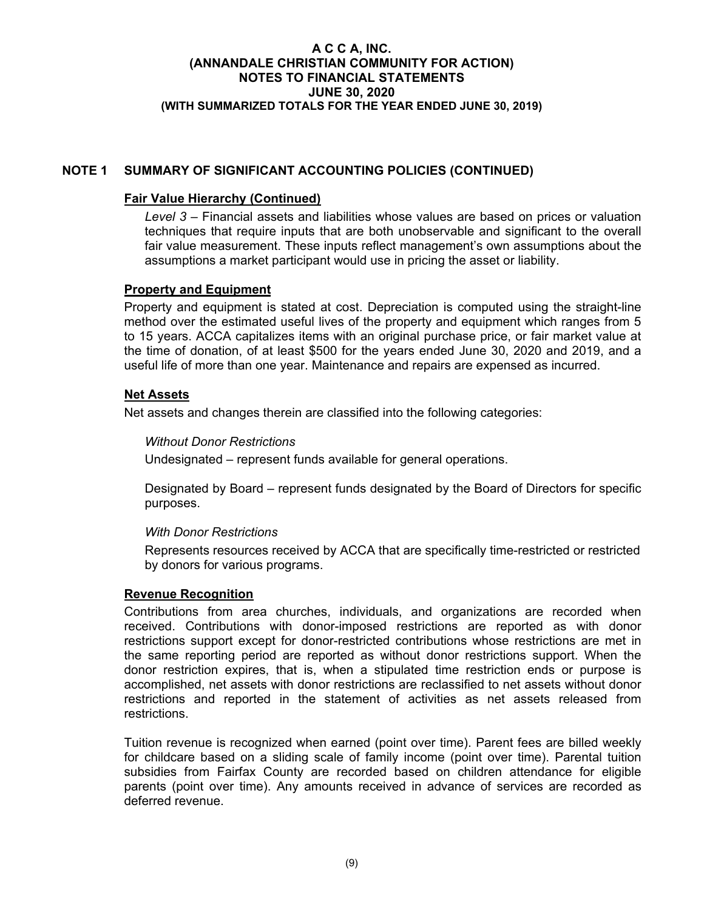# **NOTE 1 SUMMARY OF SIGNIFICANT ACCOUNTING POLICIES (CONTINUED)**

## **Fair Value Hierarchy (Continued)**

*Level 3* – Financial assets and liabilities whose values are based on prices or valuation techniques that require inputs that are both unobservable and significant to the overall fair value measurement. These inputs reflect management's own assumptions about the assumptions a market participant would use in pricing the asset or liability.

#### **Property and Equipment**

Property and equipment is stated at cost. Depreciation is computed using the straight-line method over the estimated useful lives of the property and equipment which ranges from 5 to 15 years. ACCA capitalizes items with an original purchase price, or fair market value at the time of donation, of at least \$500 for the years ended June 30, 2020 and 2019, and a useful life of more than one year. Maintenance and repairs are expensed as incurred.

### **Net Assets**

Net assets and changes therein are classified into the following categories:

#### *Without Donor Restrictions*

Undesignated – represent funds available for general operations.

Designated by Board – represent funds designated by the Board of Directors for specific purposes.

#### *With Donor Restrictions*

Represents resources received by ACCA that are specifically time-restricted or restricted by donors for various programs.

## **Revenue Recognition**

Contributions from area churches, individuals, and organizations are recorded when received. Contributions with donor-imposed restrictions are reported as with donor restrictions support except for donor-restricted contributions whose restrictions are met in the same reporting period are reported as without donor restrictions support. When the donor restriction expires, that is, when a stipulated time restriction ends or purpose is accomplished, net assets with donor restrictions are reclassified to net assets without donor restrictions and reported in the statement of activities as net assets released from restrictions.

Tuition revenue is recognized when earned (point over time). Parent fees are billed weekly for childcare based on a sliding scale of family income (point over time). Parental tuition subsidies from Fairfax County are recorded based on children attendance for eligible parents (point over time). Any amounts received in advance of services are recorded as deferred revenue.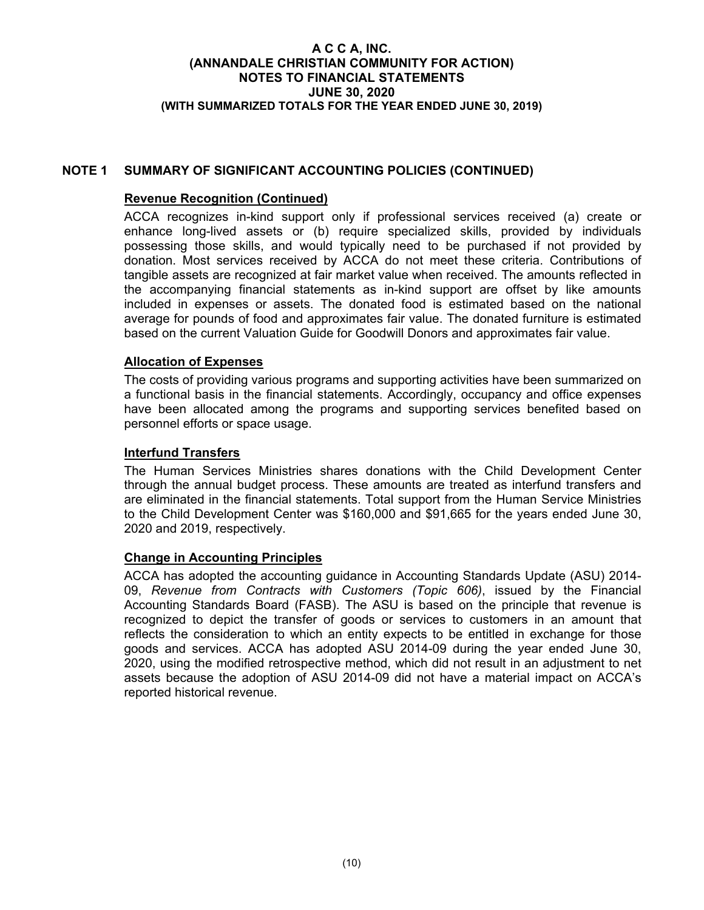### **NOTE 1 SUMMARY OF SIGNIFICANT ACCOUNTING POLICIES (CONTINUED)**

### **Revenue Recognition (Continued)**

ACCA recognizes in-kind support only if professional services received (a) create or enhance long-lived assets or (b) require specialized skills, provided by individuals possessing those skills, and would typically need to be purchased if not provided by donation. Most services received by ACCA do not meet these criteria. Contributions of tangible assets are recognized at fair market value when received. The amounts reflected in the accompanying financial statements as in-kind support are offset by like amounts included in expenses or assets. The donated food is estimated based on the national average for pounds of food and approximates fair value. The donated furniture is estimated based on the current Valuation Guide for Goodwill Donors and approximates fair value.

#### **Allocation of Expenses**

The costs of providing various programs and supporting activities have been summarized on a functional basis in the financial statements. Accordingly, occupancy and office expenses have been allocated among the programs and supporting services benefited based on personnel efforts or space usage.

### **Interfund Transfers**

The Human Services Ministries shares donations with the Child Development Center through the annual budget process. These amounts are treated as interfund transfers and are eliminated in the financial statements. Total support from the Human Service Ministries to the Child Development Center was \$160,000 and \$91,665 for the years ended June 30, 2020 and 2019, respectively.

#### **Change in Accounting Principles**

ACCA has adopted the accounting guidance in Accounting Standards Update (ASU) 2014- 09, *Revenue from Contracts with Customers (Topic 606)*, issued by the Financial Accounting Standards Board (FASB). The ASU is based on the principle that revenue is recognized to depict the transfer of goods or services to customers in an amount that reflects the consideration to which an entity expects to be entitled in exchange for those goods and services. ACCA has adopted ASU 2014-09 during the year ended June 30, 2020, using the modified retrospective method, which did not result in an adjustment to net assets because the adoption of ASU 2014-09 did not have a material impact on ACCA's reported historical revenue.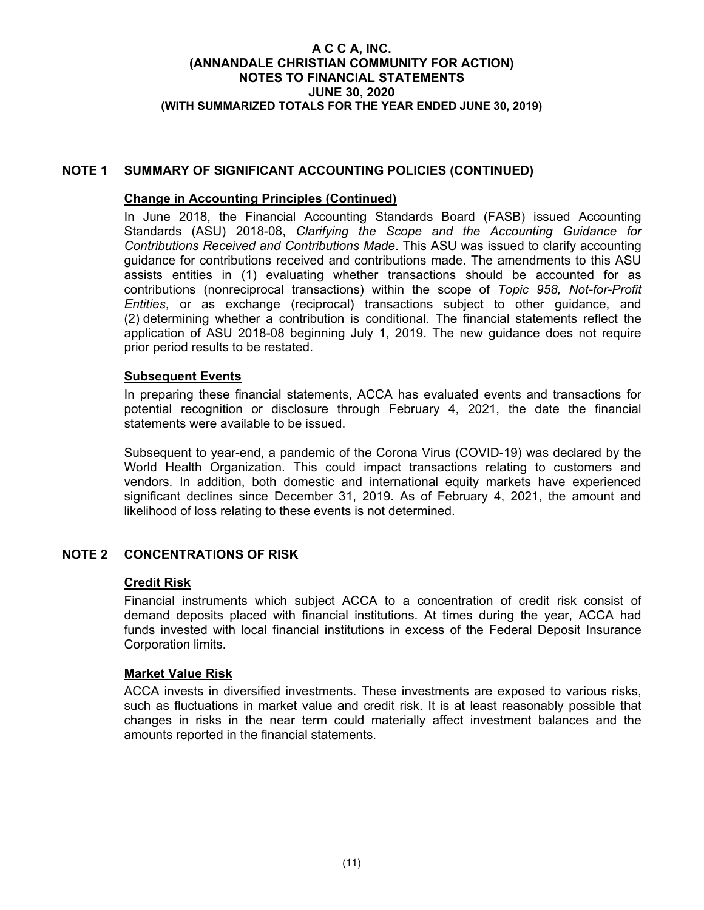## **NOTE 1 SUMMARY OF SIGNIFICANT ACCOUNTING POLICIES (CONTINUED)**

### **Change in Accounting Principles (Continued)**

In June 2018, the Financial Accounting Standards Board (FASB) issued Accounting Standards (ASU) 2018-08, *Clarifying the Scope and the Accounting Guidance for Contributions Received and Contributions Made*. This ASU was issued to clarify accounting guidance for contributions received and contributions made. The amendments to this ASU assists entities in (1) evaluating whether transactions should be accounted for as contributions (nonreciprocal transactions) within the scope of *Topic 958, Not-for-Profit Entities*, or as exchange (reciprocal) transactions subject to other guidance, and (2) determining whether a contribution is conditional. The financial statements reflect the application of ASU 2018-08 beginning July 1, 2019. The new guidance does not require prior period results to be restated.

#### **Subsequent Events**

In preparing these financial statements, ACCA has evaluated events and transactions for potential recognition or disclosure through February 4, 2021, the date the financial statements were available to be issued.

Subsequent to year-end, a pandemic of the Corona Virus (COVID-19) was declared by the World Health Organization. This could impact transactions relating to customers and vendors. In addition, both domestic and international equity markets have experienced significant declines since December 31, 2019. As of February 4, 2021, the amount and likelihood of loss relating to these events is not determined.

## **NOTE 2 CONCENTRATIONS OF RISK**

#### **Credit Risk**

Financial instruments which subject ACCA to a concentration of credit risk consist of demand deposits placed with financial institutions. At times during the year, ACCA had funds invested with local financial institutions in excess of the Federal Deposit Insurance Corporation limits.

#### **Market Value Risk**

ACCA invests in diversified investments. These investments are exposed to various risks, such as fluctuations in market value and credit risk. It is at least reasonably possible that changes in risks in the near term could materially affect investment balances and the amounts reported in the financial statements.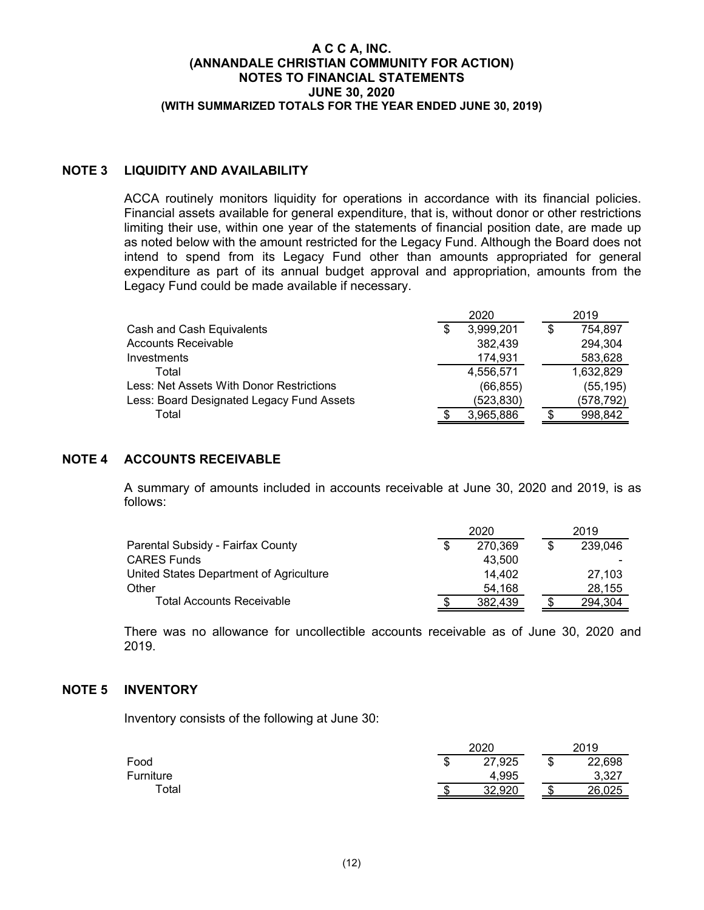# **NOTE 3 LIQUIDITY AND AVAILABILITY**

ACCA routinely monitors liquidity for operations in accordance with its financial policies. Financial assets available for general expenditure, that is, without donor or other restrictions limiting their use, within one year of the statements of financial position date, are made up as noted below with the amount restricted for the Legacy Fund. Although the Board does not intend to spend from its Legacy Fund other than amounts appropriated for general expenditure as part of its annual budget approval and appropriation, amounts from the Legacy Fund could be made available if necessary.

|                                           | 2020      |   | 2019       |
|-------------------------------------------|-----------|---|------------|
| Cash and Cash Equivalents                 | 3,999,201 | S | 754,897    |
| <b>Accounts Receivable</b>                | 382.439   |   | 294,304    |
| Investments                               | 174.931   |   | 583,628    |
| Total                                     | 4,556,571 |   | 1,632,829  |
| Less: Net Assets With Donor Restrictions  | (66,855)  |   | (55, 195)  |
| Less: Board Designated Legacy Fund Assets | (523,830) |   | (578, 792) |
| Total                                     | 3,965,886 |   | 998.842    |
|                                           |           |   |            |

## **NOTE 4 ACCOUNTS RECEIVABLE**

A summary of amounts included in accounts receivable at June 30, 2020 and 2019, is as follows:

|                                         | 2020    | 2019    |
|-----------------------------------------|---------|---------|
| Parental Subsidy - Fairfax County       | 270.369 | 239.046 |
| <b>CARES Funds</b>                      | 43.500  |         |
| United States Department of Agriculture | 14.402  | 27.103  |
| Other                                   | 54.168  | 28,155  |
| Total Accounts Receivable               | 382.439 | 294.304 |

There was no allowance for uncollectible accounts receivable as of June 30, 2020 and 2019.

## **NOTE 5 INVENTORY**

Inventory consists of the following at June 30:

|           |         | 2020   |         | 2019   |
|-----------|---------|--------|---------|--------|
| Food      | ጦ<br>J  | 27,925 | ጦ<br>J  | 22,698 |
| Furniture |         | 4,995  |         | 3,327  |
| Total     | ጦ<br>۰D | 32.920 | ጦ<br>κD | 26,025 |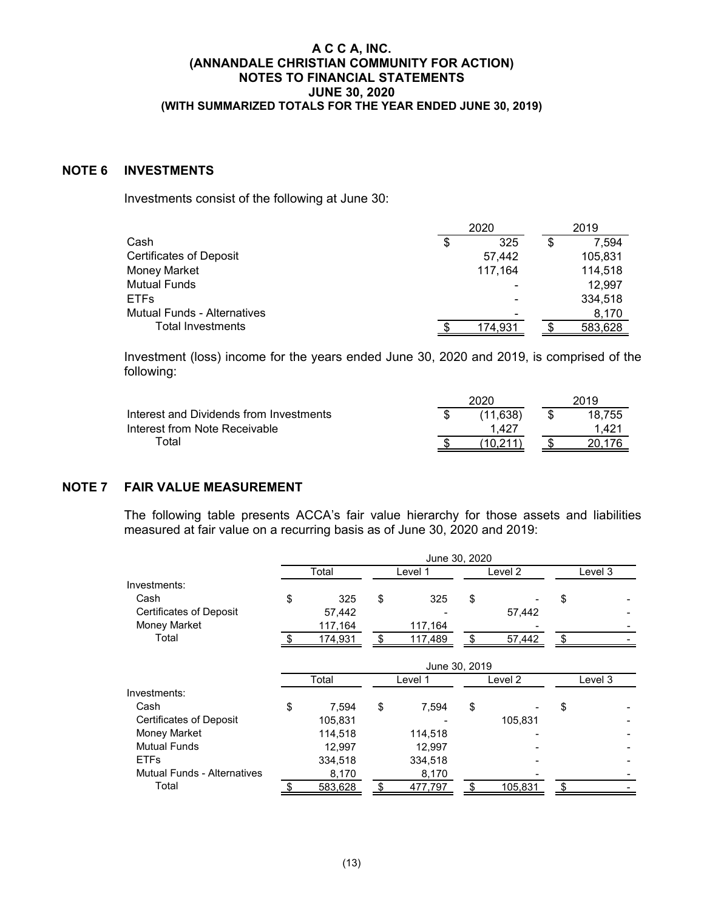### **NOTE 6 INVESTMENTS**

Investments consist of the following at June 30:

| Cash                               |    |         | 2019 |         |  |
|------------------------------------|----|---------|------|---------|--|
|                                    | \$ | 325     | S    | 7.594   |  |
| Certificates of Deposit            |    | 57,442  |      | 105,831 |  |
| Money Market                       |    | 117.164 |      | 114,518 |  |
| Mutual Funds                       |    |         |      | 12,997  |  |
| ETFs                               |    |         |      | 334,518 |  |
| <b>Mutual Funds - Alternatives</b> |    |         |      | 8,170   |  |
| <b>Total Investments</b>           |    | 174,931 |      | 583,628 |  |

Investment (loss) income for the years ended June 30, 2020 and 2019, is comprised of the following:

|                                         | 2020      | 2019   |
|-----------------------------------------|-----------|--------|
| Interest and Dividends from Investments | (11, 638) | 18.755 |
| Interest from Note Receivable           | 1.427     | 1.421  |
| Total                                   |           |        |

# **NOTE 7 FAIR VALUE MEASUREMENT**

The following table presents ACCA's fair value hierarchy for those assets and liabilities measured at fair value on a recurring basis as of June 30, 2020 and 2019:

|                                    |    |         | June 30, 2020 |               |         |
|------------------------------------|----|---------|---------------|---------------|---------|
|                                    |    | Total   | Level 1       | Level 2       | Level 3 |
| Investments:                       |    |         |               |               |         |
| Cash                               | \$ | 325     | \$<br>325     | \$            | \$      |
| <b>Certificates of Deposit</b>     |    | 57,442  |               | 57,442        |         |
| Money Market                       |    | 117,164 | 117,164       |               |         |
| Total                              |    | 174,931 | 117,489       | 57,442        | \$      |
|                                    |    |         |               |               |         |
|                                    |    |         | June 30, 2019 |               |         |
|                                    |    | Total   | Level 1       | Level 2       | Level 3 |
| Investments:                       |    |         |               |               |         |
| Cash                               | \$ | 7,594   | \$<br>7,594   | \$            | \$      |
| <b>Certificates of Deposit</b>     |    | 105,831 |               | 105,831       |         |
| Money Market                       |    | 114,518 | 114,518       |               |         |
| <b>Mutual Funds</b>                |    | 12,997  | 12,997        |               |         |
| <b>ETFs</b>                        |    | 334,518 | 334,518       |               |         |
| <b>Mutual Funds - Alternatives</b> |    | 8,170   | 8,170         |               |         |
| Total                              | S  | 583,628 | \$<br>477,797 | \$<br>105,831 | \$      |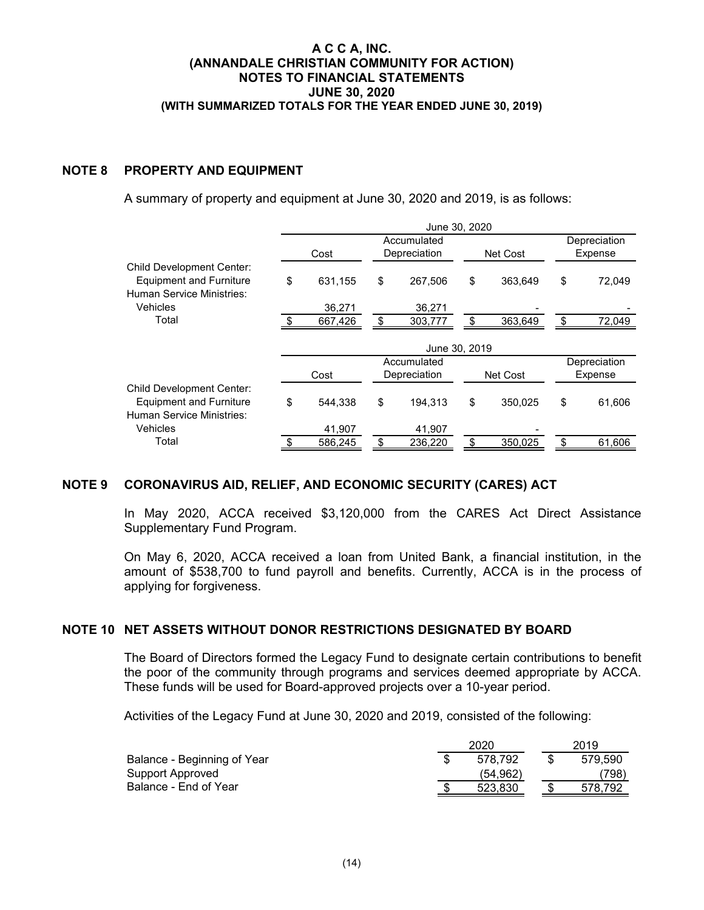# **NOTE 8 PROPERTY AND EQUIPMENT**

A summary of property and equipment at June 30, 2020 and 2019, is as follows:

|                                                                                                 | June 30, 2020 |    |               |    |                 |    |              |  |  |
|-------------------------------------------------------------------------------------------------|---------------|----|---------------|----|-----------------|----|--------------|--|--|
|                                                                                                 |               |    | Accumulated   |    |                 |    | Depreciation |  |  |
|                                                                                                 | Cost          |    | Depreciation  |    | Net Cost        |    | Expense      |  |  |
| <b>Child Development Center:</b><br><b>Equipment and Furniture</b><br>Human Service Ministries: | \$<br>631,155 | \$ | 267,506       | \$ | 363,649         | \$ | 72,049       |  |  |
| Vehicles                                                                                        | 36,271        |    | 36,271        |    |                 |    |              |  |  |
| Total                                                                                           | 667,426       |    | 303,777       |    | 363,649         | \$ | 72,049       |  |  |
|                                                                                                 |               |    | June 30, 2019 |    |                 |    |              |  |  |
|                                                                                                 |               |    | Accumulated   |    |                 |    | Depreciation |  |  |
|                                                                                                 | Cost          |    | Depreciation  |    | <b>Net Cost</b> |    | Expense      |  |  |
| <b>Child Development Center:</b><br><b>Equipment and Furniture</b><br>Human Service Ministries: | \$<br>544.338 | \$ | 194,313       | \$ | 350.025         | \$ | 61,606       |  |  |
| Vehicles                                                                                        | 41,907        |    | 41,907        |    |                 |    |              |  |  |
| Total                                                                                           | 586,245       |    | 236,220       | \$ | 350,025         | \$ | 61.606       |  |  |

## **NOTE 9 CORONAVIRUS AID, RELIEF, AND ECONOMIC SECURITY (CARES) ACT**

In May 2020, ACCA received \$3,120,000 from the CARES Act Direct Assistance Supplementary Fund Program.

On May 6, 2020, ACCA received a loan from United Bank, a financial institution, in the amount of \$538,700 to fund payroll and benefits. Currently, ACCA is in the process of applying for forgiveness.

# **NOTE 10 NET ASSETS WITHOUT DONOR RESTRICTIONS DESIGNATED BY BOARD**

The Board of Directors formed the Legacy Fund to designate certain contributions to benefit the poor of the community through programs and services deemed appropriate by ACCA. These funds will be used for Board-approved projects over a 10-year period.

Activities of the Legacy Fund at June 30, 2020 and 2019, consisted of the following:

|                             | 2020     |  |         |
|-----------------------------|----------|--|---------|
| Balance - Beginning of Year | 578.792  |  | 579.590 |
| Support Approved            | (54,962) |  | 798).   |
| Balance - End of Year       | 523.830  |  | 578.792 |
|                             |          |  |         |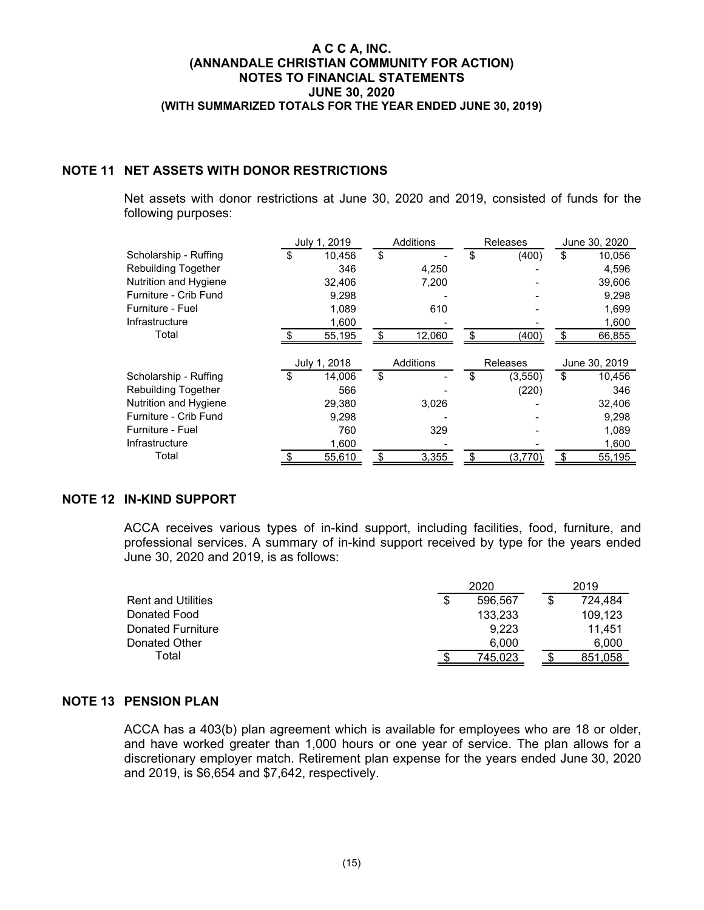# **NOTE 11 NET ASSETS WITH DONOR RESTRICTIONS**

Net assets with donor restrictions at June 30, 2020 and 2019, consisted of funds for the following purposes:

|                            | July 1, 2019 | <b>Additions</b> |           | <b>Releases</b> |                 | June 30, 2020 |               |
|----------------------------|--------------|------------------|-----------|-----------------|-----------------|---------------|---------------|
| Scholarship - Ruffing      | \$<br>10,456 | \$               |           | \$              | (400)           | \$            | 10,056        |
| <b>Rebuilding Together</b> | 346          |                  | 4,250     |                 |                 |               | 4,596         |
| Nutrition and Hygiene      | 32,406       |                  | 7,200     |                 |                 |               | 39,606        |
| Furniture - Crib Fund      | 9,298        |                  |           |                 |                 |               | 9,298         |
| Furniture - Fuel           | 1.089        |                  | 610       |                 |                 |               | 1,699         |
| Infrastructure             | 1,600        |                  |           |                 |                 |               | 1,600         |
| Total                      | 55,195       |                  | 12,060    | \$              | (400)           | \$            | 66,855        |
|                            |              |                  |           |                 |                 |               |               |
|                            | July 1, 2018 |                  | Additions |                 | <b>Releases</b> |               | June 30, 2019 |
| Scholarship - Ruffing      | \$<br>14,006 | \$               |           | \$              | (3,550)         | \$            | 10,456        |
| <b>Rebuilding Together</b> | 566          |                  |           |                 | (220)           |               | 346           |
| Nutrition and Hygiene      | 29,380       |                  | 3,026     |                 |                 |               | 32,406        |
| Furniture - Crib Fund      | 9.298        |                  |           |                 |                 |               | 9,298         |
| <b>Furniture - Fuel</b>    | 760          |                  | 329       |                 |                 |               | 1,089         |
| Infrastructure             | 1,600        |                  |           |                 |                 |               | 1,600         |
|                            |              |                  |           |                 |                 |               |               |

## **NOTE 12 IN-KIND SUPPORT**

ACCA receives various types of in-kind support, including facilities, food, furniture, and professional services. A summary of in-kind support received by type for the years ended June 30, 2020 and 2019, is as follows:

|                          | 2020 |         |  | 2019    |  |  |
|--------------------------|------|---------|--|---------|--|--|
| Rent and Utilities       | S    | 596.567 |  | 724,484 |  |  |
| Donated Food             |      | 133.233 |  | 109.123 |  |  |
| <b>Donated Furniture</b> |      | 9.223   |  | 11.451  |  |  |
| Donated Other            |      | 6.000   |  | 6.000   |  |  |
| Total                    |      | 745.023 |  | 851.058 |  |  |

## **NOTE 13 PENSION PLAN**

ACCA has a 403(b) plan agreement which is available for employees who are 18 or older, and have worked greater than 1,000 hours or one year of service. The plan allows for a discretionary employer match. Retirement plan expense for the years ended June 30, 2020 and 2019, is \$6,654 and \$7,642, respectively.